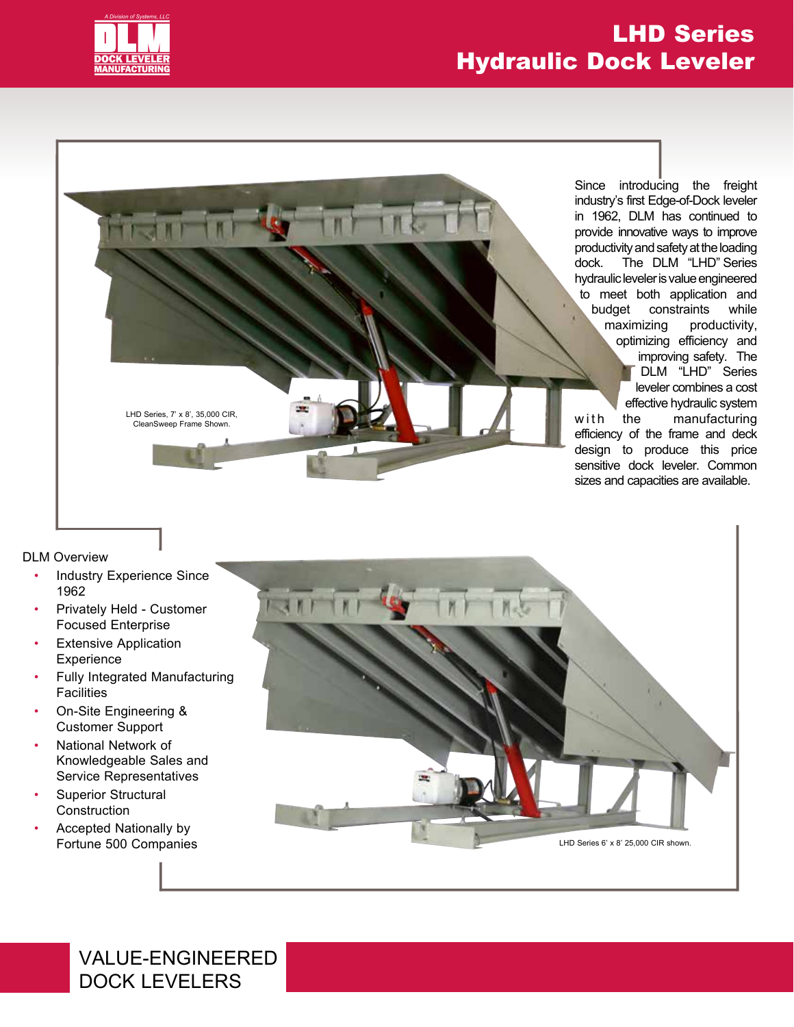

**HIST** 

## LHD Series Hydraulic Dock Leveler

Since introducing the freight industry's first Edge-of-Dock Since introducing the freight industry's first Edge-of-Dock leveler in 1962, DLM has continued to provide innovative ways to improve productivity and safety at the loading dock. The DLM "LHD" Series hydraulic leveler is value engineered to meet both application and budget constraints while maximizing productivity, budget constraints while<br>
maximizing productivity,<br>
optimizing efficiency and improving safety. The DLM "LHD" Series leveler combines a cost effective hydraulic system the manufacturing efficiency of the frame and deck design to produce this price sensitive dock leveler. Common provide innovative ways to improve<br>productivity and safety at the loading<br>dock. The DLM "LHD" Series<br>hydraulic leveler is value engineered<br>to meet both application and improving safety. The<br>
DLM "LHD" Series<br>
leveler combines a cost<br>
effective hydraulic system<br>
w i the manufacturing<br>
efficiency of the frame and deck<br>
design to produce this price<br>
sensitive dock leveler. Common sizes and capacities are available.

LHD Series, 7' x 8', 35,000 CIR, CleanSweep Frame Shown.

DLM Overview

- Industry Experience Since 1962
- Privately Held Customer Focused Enterprise
- **Extensive Application Experience**
- Fully Integrated Manufacturing **Facilities**
- On-Site Engineering & Customer Support
- National Network of Knowledgeable Sales and Service Representatives
- Superior Structural **Construction**
- Accepted Nationally by Fortune 500 Companies